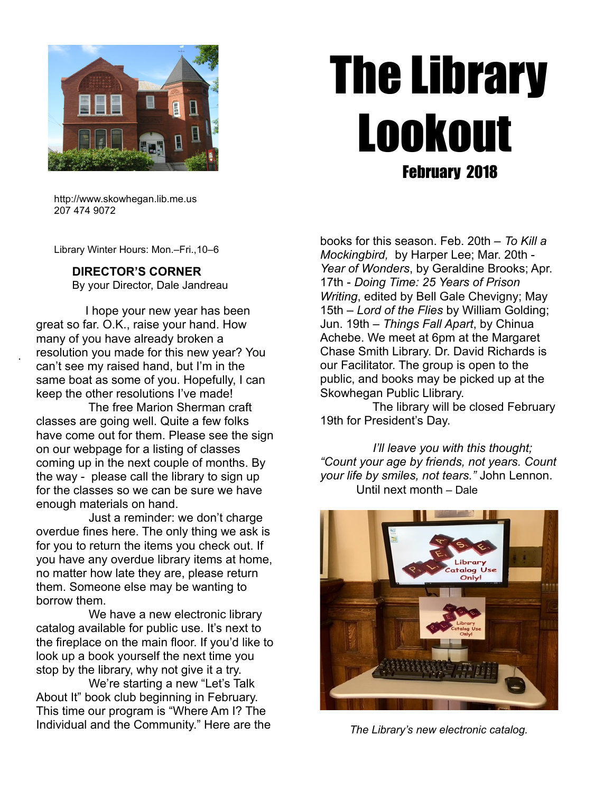

# The Library Lookout February 2018

 http://www.skowhegan.lib.me.us 207 474 9072

Library Winter Hours: Mon.–Fri.,10–6

## **DIRECTOR'S CORNER**

By your Director, Dale Jandreau

 I hope your new year has been great so far. O.K., raise your hand. How many of you have already broken a resolution you made for this new year? You can't see my raised hand, but I'm in the same boat as some of you. Hopefully, I can keep the other resolutions I've made!

.

 The free Marion Sherman craft classes are going well. Quite a few folks have come out for them. Please see the sign on our webpage for a listing of classes coming up in the next couple of months. By the way - please call the library to sign up for the classes so we can be sure we have enough materials on hand.

 Just a reminder: we don't charge overdue fines here. The only thing we ask is for you to return the items you check out. If you have any overdue library items at home, no matter how late they are, please return them. Someone else may be wanting to borrow them.

We have a new electronic library catalog available for public use. It's next to the fireplace on the main floor. If you'd like to look up a book yourself the next time you stop by the library, why not give it a try.

 We're starting a new "Let's Talk About It" book club beginning in February. This time our program is "Where Am I? The Individual and the Community." Here are the books for this season. Feb. 20th – *To Kill a Mockingbird,* by Harper Lee; Mar. 20th - *Year of Wonders*, by Geraldine Brooks; Apr. 17th - *Doing Time: 25 Years of Prison Writing*, edited by Bell Gale Chevigny; May 15th – *Lord of the Flies* by William Golding; Jun. 19th – *Things Fall Apart*, by Chinua Achebe. We meet at 6pm at the Margaret Chase Smith Library. Dr. David Richards is our Facilitator. The group is open to the public, and books may be picked up at the Skowhegan Public Llibrary.

 The library will be closed February 19th for President's Day.

 *I'll leave you with this thought; "Count your age by friends, not years. Count your life by smiles, not tears."* John Lennon. Until next month – Dale



*The Library's new electronic catalog.*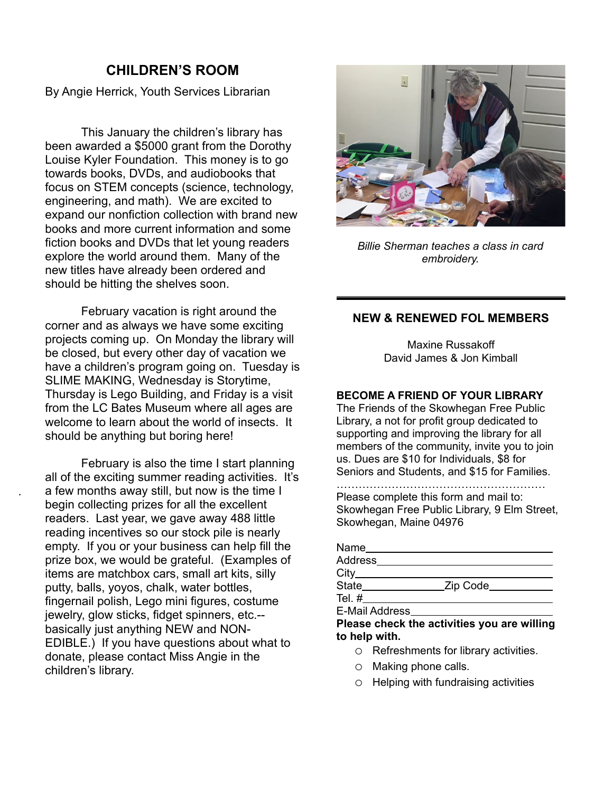# **CHILDREN'S ROOM**

By Angie Herrick, Youth Services Librarian

 This January the children's library has been awarded a \$5000 grant from the Dorothy Louise Kyler Foundation. This money is to go towards books, DVDs, and audiobooks that focus on STEM concepts (science, technology, engineering, and math). We are excited to expand our nonfiction collection with brand new books and more current information and some fiction books and DVDs that let young readers explore the world around them. Many of the new titles have already been ordered and should be hitting the shelves soon.

February vacation is right around the corner and as always we have some exciting projects coming up. On Monday the library will be closed, but every other day of vacation we have a children's program going on. Tuesday is SLIME MAKING, Wednesday is Storytime, Thursday is Lego Building, and Friday is a visit from the LC Bates Museum where all ages are welcome to learn about the world of insects. It should be anything but boring here!

February is also the time I start planning all of the exciting summer reading activities. It's a few months away still, but now is the time I begin collecting prizes for all the excellent readers. Last year, we gave away 488 little reading incentives so our stock pile is nearly empty. If you or your business can help fill the prize box, we would be grateful. (Examples of items are matchbox cars, small art kits, silly putty, balls, yoyos, chalk, water bottles, fingernail polish, Lego mini figures, costume jewelry, glow sticks, fidget spinners, etc.- basically just anything NEW and NON-EDIBLE.) If you have questions about what to donate, please contact Miss Angie in the children's library.

.



*Billie Sherman teaches a class in card embroidery.*

## **NEW & RENEWED FOL MEMBERS**

Maxine Russakoff David James & Jon Kimball

#### **BECOME A FRIEND OF YOUR LIBRARY**

The Friends of the Skowhegan Free Public Library, a not for profit group dedicated to supporting and improving the library for all members of the community, invite you to join us. Dues are \$10 for Individuals, \$8 for Seniors and Students, and \$15 for Families.

………………………………………………… Please complete this form and mail to: Skowhegan Free Public Library, 9 Elm Street, Skowhegan, Maine 04976

| Name           |            |  |
|----------------|------------|--|
| Address        |            |  |
| City           |            |  |
| State          | _Zip Code_ |  |
| Tel. $#$       |            |  |
| E-Mail Address |            |  |

**Please check the activities you are willing to help with.**

- o Refreshments for library activities.
- o Making phone calls.
- o Helping with fundraising activities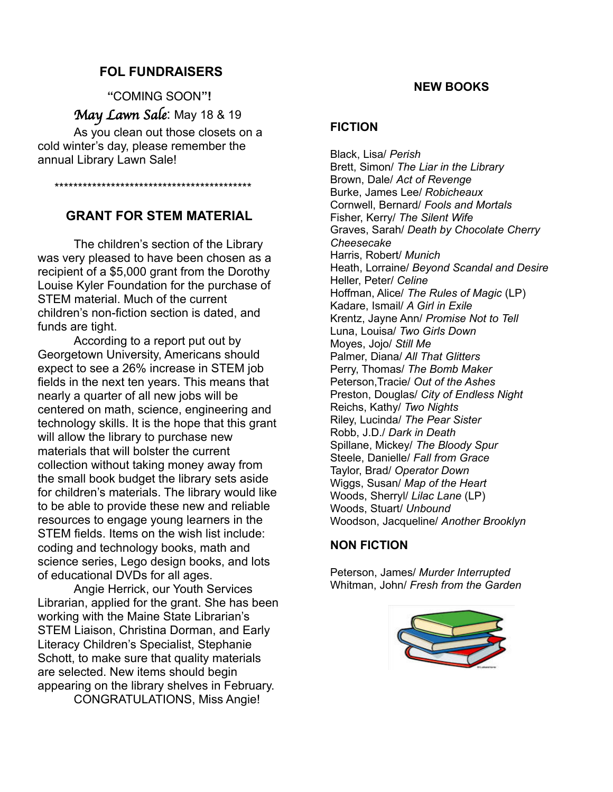## **FOL FUNDRAISERS**

**"**COMING SOON**"!** May Lawn Sale: May 18 & 19

As you clean out those closets on a cold winter's day, please remember the annual Library Lawn Sale!

\*\*\*\*\*\*\*\*\*\*\*\*\*\*\*\*\*\*\*\*\*\*\*\*\*\*\*\*\*\*\*\*\*\*\*\*\*\*\*\*\*\*

# **GRANT FOR STEM MATERIAL**

The children's section of the Library was very pleased to have been chosen as a recipient of a \$5,000 grant from the Dorothy Louise Kyler Foundation for the purchase of STEM material. Much of the current children's non-fiction section is dated, and funds are tight.

According to a report put out by Georgetown University, Americans should expect to see a 26% increase in STEM job fields in the next ten years. This means that nearly a quarter of all new jobs will be centered on math, science, engineering and technology skills. It is the hope that this grant will allow the library to purchase new materials that will bolster the current collection without taking money away from the small book budget the library sets aside for children's materials. The library would like to be able to provide these new and reliable resources to engage young learners in the STEM fields. Items on the wish list include: coding and technology books, math and science series, Lego design books, and lots of educational DVDs for all ages.

Angie Herrick, our Youth Services Librarian, applied for the grant. She has been working with the Maine State Librarian's STEM Liaison, Christina Dorman, and Early Literacy Children's Specialist, Stephanie Schott, to make sure that quality materials are selected. New items should begin appearing on the library shelves in February. CONGRATULATIONS, Miss Angie!

**NEW BOOKS**

#### **FICTION**

Black, Lisa/ *Perish* Brett, Simon/ *The Liar in the Library* Brown, Dale/ *Act of Revenge* Burke, James Lee/ *Robicheaux* Cornwell, Bernard/ *Fools and Mortals* Fisher, Kerry/ *The Silent Wife* Graves, Sarah/ *Death by Chocolate Cherry Cheesecake* Harris, Robert/ *Munich* Heath, Lorraine/ *Beyond Scandal and Desire* Heller, Peter/ *Celine* Hoffman, Alice/ *The Rules of Magic* (LP) Kadare, Ismail/ *A Girl in Exile* Krentz, Jayne Ann/ *Promise Not to Tell* Luna, Louisa/ *Two Girls Down* Moyes, Jojo/ *Still Me* Palmer, Diana/ *All That Glitters* Perry, Thomas/ *The Bomb Maker* Peterson,Tracie/ *Out of the Ashes* Preston, Douglas/ *City of Endless Night* Reichs, Kathy/ *Two Nights* Riley, Lucinda/ *The Pear Sister* Robb, J.D./ *Dark in Death* Spillane, Mickey/ *The Bloody Spur* Steele, Danielle/ *Fall from Grace* Taylor, Brad/ *Operator Down* Wiggs, Susan/ *Map of the Heart* Woods, Sherryl/ *Lilac Lane* (LP) Woods, Stuart/ *Unbound* Woodson, Jacqueline/ *Another Brooklyn*

## **NON FICTION**

Peterson, James/ *Murder Interrupted* Whitman, John/ *Fresh from the Garden*